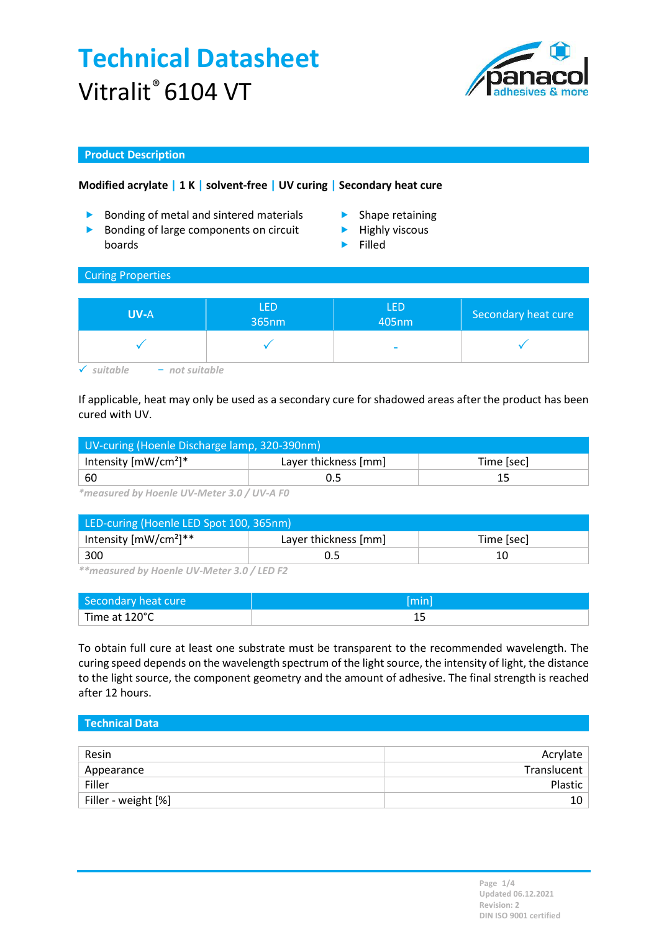# Technical Datasheet Vitralit® 6104 VT



## Product Description

# Modified acrylate | 1 K | solvent-free | UV curing | Secondary heat cure

- **Bonding of metal and sintered materials Shape retaining**
- Bonding of large components on circuit boards
- 
- $\blacktriangleright$  Highly viscous
- Filled

#### Curing Properties

| <b>UV-A</b>                  | <b>LED</b><br>365nm | LED<br>405nm | Secondary heat cure |
|------------------------------|---------------------|--------------|---------------------|
|                              |                     | ۰            |                     |
| $1 + 2 + 3 + 1$<br>т.<br>not |                     |              |                     |

# If applicable, heat may only be used as a secondary cure for shadowed areas after the product has been cured with UV.

| UV-curing (Hoenle Discharge lamp, 320-390nm) |                      |            |  |
|----------------------------------------------|----------------------|------------|--|
| Intensity $[mW/cm^2]^*$                      | Layer thickness [mm] | Time [sec] |  |
| $\frac{1}{60}$                               | U.5                  |            |  |

\*measured by Hoenle UV-Meter 3.0 / UV-A F0

| LED-curing (Hoenle LED Spot 100, 365nm) |                      |            |  |
|-----------------------------------------|----------------------|------------|--|
| Intensity $[mW/cm^2]^{**}$              | Layer thickness [mm] | Time [sec] |  |
| 300                                     |                      | 10         |  |

\*\*measured by Hoenle UV-Meter 3.0 / LED F2

| Secondary heat cure | (Imin |
|---------------------|-------|
| Time at 120°C       | --    |

To obtain full cure at least one substrate must be transparent to the recommended wavelength. The curing speed depends on the wavelength spectrum of the light source, the intensity of light, the distance to the light source, the component geometry and the amount of adhesive. The final strength is reached after 12 hours.

| Technical Data      |             |
|---------------------|-------------|
|                     |             |
| Resin               | Acrylate    |
| Appearance          | Translucent |
| Filler              | Plastic     |
| Filler - weight [%] | 10          |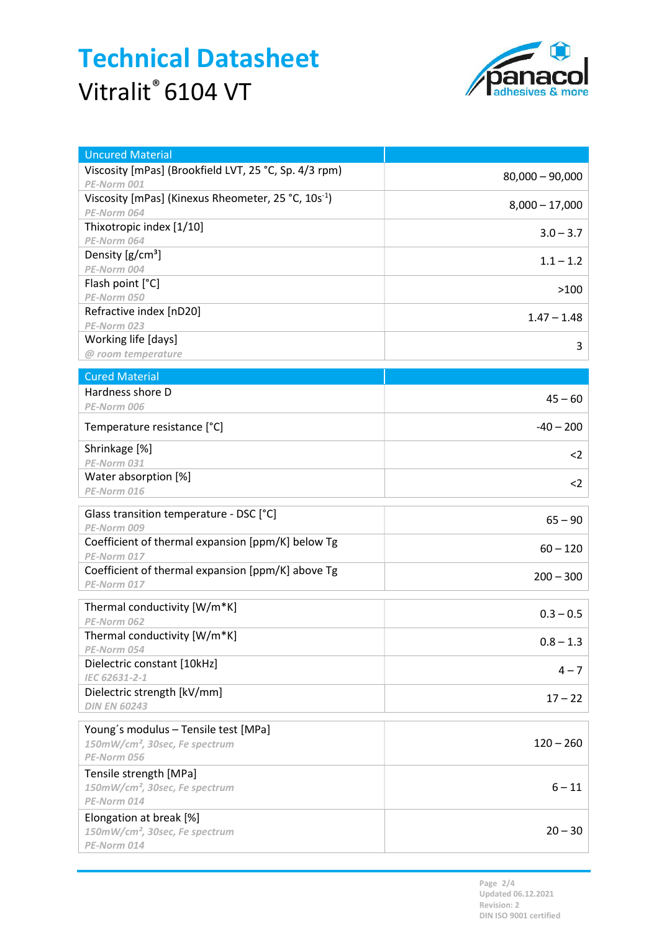# Technical Datasheet Vitralit® 6104 VT



| <b>Uncured Material</b>                                              |                   |
|----------------------------------------------------------------------|-------------------|
| Viscosity [mPas] (Brookfield LVT, 25 °C, Sp. 4/3 rpm)<br>PE-Norm 001 | $80,000 - 90,000$ |
| Viscosity [mPas] (Kinexus Rheometer, 25 °C, 10s <sup>-1</sup> )      |                   |
| PE-Norm 064                                                          | $8,000 - 17,000$  |
| Thixotropic index [1/10]                                             | $3.0 - 3.7$       |
| PE-Norm 064                                                          |                   |
| Density $[g/cm^3]$                                                   | $1.1 - 1.2$       |
| PE-Norm 004<br>Flash point [°C]                                      |                   |
| PE-Norm 050                                                          | >100              |
| Refractive index [nD20]                                              |                   |
| PE-Norm 023                                                          | $1.47 - 1.48$     |
| Working life [days]                                                  | 3                 |
| @ room temperature                                                   |                   |
| <b>Cured Material</b>                                                |                   |
| Hardness shore D                                                     | $45 - 60$         |
| PE-Norm 006                                                          |                   |
| Temperature resistance [°C]                                          | $-40 - 200$       |
| Shrinkage [%]                                                        | $<$ 2             |
| PE-Norm 031<br>Water absorption [%]                                  |                   |
| PE-Norm 016                                                          | $2$               |
|                                                                      |                   |
| Glass transition temperature - DSC [°C]<br>PE-Norm 009               | $65 - 90$         |
| Coefficient of thermal expansion [ppm/K] below Tg                    |                   |
| PE-Norm 017                                                          | $60 - 120$        |
| Coefficient of thermal expansion [ppm/K] above Tg                    |                   |
| PE-Norm 017                                                          | $200 - 300$       |
| Thermal conductivity [W/m*K]                                         | $0.3 - 0.5$       |
| PE-Norm 062                                                          |                   |
| Thermal conductivity [W/m*K]                                         | $0.8 - 1.3$       |
| PE-Norm 054                                                          |                   |
| Dielectric constant [10kHz]<br>IEC 62631-2-1                         | $4 - 7$           |
| Dielectric strength [kV/mm]                                          |                   |
| <b>DIN EN 60243</b>                                                  | $17 - 22$         |
|                                                                      |                   |
| Young's modulus - Tensile test [MPa]                                 | $120 - 260$       |
| 150mW/cm <sup>2</sup> , 30sec, Fe spectrum<br>PE-Norm 056            |                   |
| Tensile strength [MPa]                                               |                   |
| 150mW/cm <sup>2</sup> , 30sec, Fe spectrum                           | $6 - 11$          |
| PE-Norm 014                                                          |                   |
| Elongation at break [%]                                              |                   |
| 150mW/cm <sup>2</sup> , 30sec, Fe spectrum                           | $20 - 30$         |
| PE-Norm 014                                                          |                   |

Page 2/4 Updated 06.12.2021 Revision: 2 DIN ISO 9001 certified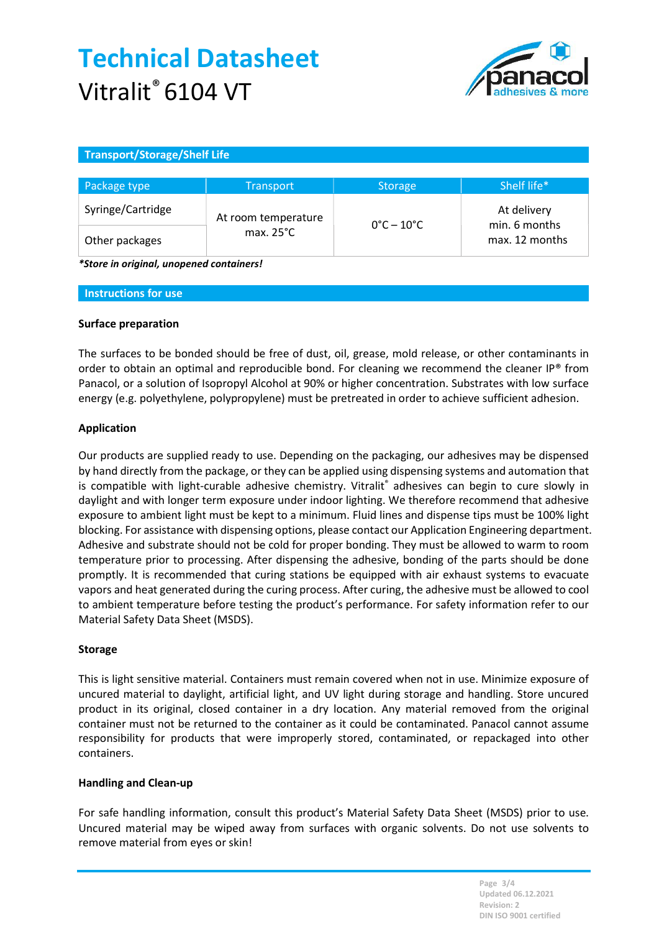# Technical Datasheet Vitralit<sup>®</sup> 6104 VT



## Transport/Storage/Shelf Life

| Package type      | <b>Transport</b>                           | <b>Storage</b>                  | Shelf life*                                    |
|-------------------|--------------------------------------------|---------------------------------|------------------------------------------------|
| Syringe/Cartridge | At room temperature<br>max. $25^{\circ}$ C | $0^{\circ}$ C – 10 $^{\circ}$ C | At delivery<br>min. 6 months<br>max. 12 months |
| Other packages    |                                            |                                 |                                                |

\*Store in original, unopened containers!

#### Instructions for use

## Surface preparation

The surfaces to be bonded should be free of dust, oil, grease, mold release, or other contaminants in order to obtain an optimal and reproducible bond. For cleaning we recommend the cleaner IP® from Panacol, or a solution of Isopropyl Alcohol at 90% or higher concentration. Substrates with low surface energy (e.g. polyethylene, polypropylene) must be pretreated in order to achieve sufficient adhesion.

## Application

Our products are supplied ready to use. Depending on the packaging, our adhesives may be dispensed by hand directly from the package, or they can be applied using dispensing systems and automation that is compatible with light-curable adhesive chemistry. Vitralit® adhesives can begin to cure slowly in daylight and with longer term exposure under indoor lighting. We therefore recommend that adhesive exposure to ambient light must be kept to a minimum. Fluid lines and dispense tips must be 100% light blocking. For assistance with dispensing options, please contact our Application Engineering department. Adhesive and substrate should not be cold for proper bonding. They must be allowed to warm to room temperature prior to processing. After dispensing the adhesive, bonding of the parts should be done promptly. It is recommended that curing stations be equipped with air exhaust systems to evacuate vapors and heat generated during the curing process. After curing, the adhesive must be allowed to cool to ambient temperature before testing the product's performance. For safety information refer to our Material Safety Data Sheet (MSDS).

## Storage

This is light sensitive material. Containers must remain covered when not in use. Minimize exposure of uncured material to daylight, artificial light, and UV light during storage and handling. Store uncured product in its original, closed container in a dry location. Any material removed from the original container must not be returned to the container as it could be contaminated. Panacol cannot assume responsibility for products that were improperly stored, contaminated, or repackaged into other containers.

## Handling and Clean-up

For safe handling information, consult this product's Material Safety Data Sheet (MSDS) prior to use. Uncured material may be wiped away from surfaces with organic solvents. Do not use solvents to remove material from eyes or skin!